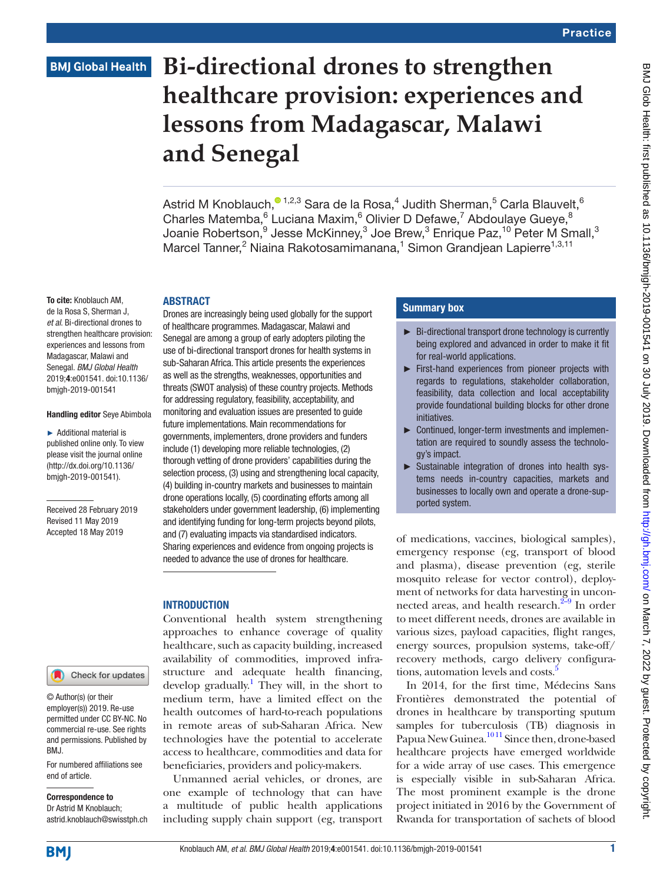### **BMJ Global Health**

## **Bi-directional drones to strengthen healthcare provision: experiences and lessons from Madagascar, Malawi and Senegal**

Astrid M Knoblauch, $^{\circ}$ 1,2,3 Sara de la Rosa, $^4$  Judith Sherman, $^5$  Carla Blauvelt, $^6$ Charles Matemba, <sup>6</sup> Luciana Maxim, <sup>6</sup> Olivier D Defawe, <sup>7</sup> Abdoulaye Gueye, <sup>8</sup> Joanie Robertson, $^9$  Jesse McKinney, $^3$  Joe Brew, $^3$  Enrique Paz, $^{10}$  Peter M Small, $^3$ Marcel Tanner,<sup>2</sup> Niaina Rakotosamimanana,<sup>1</sup> Simon Grandjean Lapierre<sup>1,3,11</sup>

#### **ABSTRACT**

To cite: Knoblauch AM, de la Rosa S, Sherman J, *et al*. Bi-directional drones to strengthen healthcare provision: experiences and lessons from Madagascar, Malawi and Senegal. *BMJ Global Health* 2019;4:e001541. doi:10.1136/ bmjgh-2019-001541

#### Handling editor Seye Abimbola

► Additional material is published online only. To view please visit the journal online ([http://dx.doi.org/10.1136/](http://dx.doi.org/10.1136bmjgh-2019-001541) [bmjgh-2019-001541\)](http://dx.doi.org/10.1136bmjgh-2019-001541).

Received 28 February 2019 Revised 11 May 2019 Accepted 18 May 2019

#### Check for updates

© Author(s) (or their employer(s)) 2019. Re-use permitted under CC BY-NC. No commercial re-use. See rights and permissions. Published by BMJ.

For numbered affiliations see end of article.

Correspondence to Dr Astrid M Knoblauch; astrid.knoblauch@swisstph.ch

Drones are increasingly being used globally for the support of healthcare programmes. Madagascar, Malawi and Senegal are among a group of early adopters piloting the use of bi-directional transport drones for health systems in sub-Saharan Africa. This article presents the experiences as well as the strengths, weaknesses, opportunities and threats (SWOT analysis) of these country projects. Methods for addressing regulatory, feasibility, acceptability, and monitoring and evaluation issues are presented to guide future implementations. Main recommendations for governments, implementers, drone providers and funders include (1) developing more reliable technologies, (2) thorough vetting of drone providers' capabilities during the selection process, (3) using and strengthening local capacity, (4) building in-country markets and businesses to maintain drone operations locally, (5) coordinating efforts among all stakeholders under government leadership, (6) implementing and identifying funding for long-term projects beyond pilots, and (7) evaluating impacts via standardised indicators. Sharing experiences and evidence from ongoing projects is needed to advance the use of drones for healthcare.

#### **INTRODUCTION**

Conventional health system strengthening approaches to enhance coverage of quality healthcare, such as capacity building, increased availability of commodities, improved infrastructure and adequate health financing, develop gradually.<sup>1</sup> They will, in the short to medium term, have a limited effect on the health outcomes of hard-to-reach populations in remote areas of sub-Saharan Africa. New technologies have the potential to accelerate access to healthcare, commodities and data for beneficiaries, providers and policy-makers.

Unmanned aerial vehicles, or drones, are one example of technology that can have a multitude of public health applications including supply chain support (eg, transport

#### Summary box

- ► Bi-directional transport drone technology is currently being explored and advanced in order to make it fit for real-world applications.
- ► First-hand experiences from pioneer projects with regards to regulations, stakeholder collaboration, feasibility, data collection and local acceptability provide foundational building blocks for other drone initiatives.
- ► Continued, longer-term investments and implementation are required to soundly assess the technology's impact.
- ► Sustainable integration of drones into health systems needs in-country capacities, markets and businesses to locally own and operate a drone-supported system.

of medications, vaccines, biological samples), emergency response (eg, transport of blood and plasma), disease prevention (eg, sterile mosquito release for vector control), deployment of networks for data harvesting in unconnected areas, and health research. $2\frac{2-9}{9}$  In order to meet different needs, drones are available in various sizes, payload capacities, flight ranges, energy sources, propulsion systems, take-off/ recovery methods, cargo delivery configura-tions, automation levels and costs.<sup>[5](#page-8-2)</sup>

In 2014, for the first time, Médecins Sans Frontières demonstrated the potential of drones in healthcare by transporting sputum samples for tuberculosis (TB) diagnosis in Papua New Guinea.<sup>1011</sup> Since then, drone-based healthcare projects have emerged worldwide for a wide array of use cases. This emergence is especially visible in sub-Saharan Africa. The most prominent example is the drone project initiated in 2016 by the Government of Rwanda for transportation of sachets of blood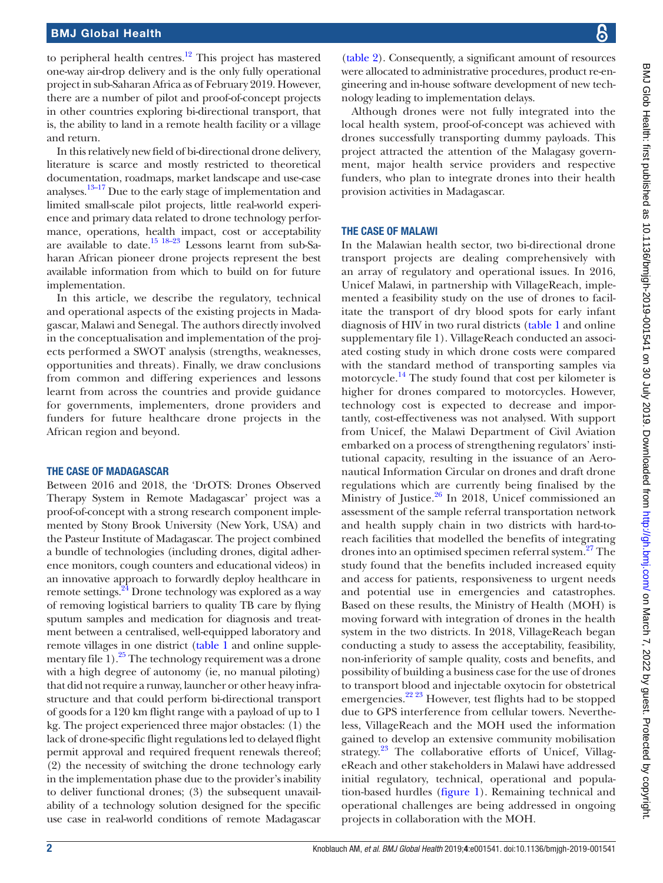to peripheral health centres.<sup>12</sup> This project has mastered one-way air-drop delivery and is the only fully operational project in sub-Saharan Africa as of February 2019. However, there are a number of pilot and proof-of-concept projects in other countries exploring bi-directional transport, that is, the ability to land in a remote health facility or a village and return.

In this relatively new field of bi-directional drone delivery, literature is scarce and mostly restricted to theoretical documentation, roadmaps, market landscape and use-case analyses[.13–17](#page-9-1) Due to the early stage of implementation and limited small-scale pilot projects, little real-world experience and primary data related to drone technology performance, operations, health impact, cost or acceptability are available to date[.15 18–23](#page-9-2) Lessons learnt from sub-Saharan African pioneer drone projects represent the best available information from which to build on for future implementation.

In this article, we describe the regulatory, technical and operational aspects of the existing projects in Madagascar, Malawi and Senegal. The authors directly involved in the conceptualisation and implementation of the projects performed a SWOT analysis (strengths, weaknesses, opportunities and threats). Finally, we draw conclusions from common and differing experiences and lessons learnt from across the countries and provide guidance for governments, implementers, drone providers and funders for future healthcare drone projects in the African region and beyond.

#### The case of Madagascar

Between 2016 and 2018, the 'DrOTS: Drones Observed Therapy System in Remote Madagascar' project was a proof-of-concept with a strong research component implemented by Stony Brook University (New York, USA) and the Pasteur Institute of Madagascar. The project combined a bundle of technologies (including drones, digital adherence monitors, cough counters and educational videos) in an innovative approach to forwardly deploy healthcare in remote settings.<sup>24</sup> Drone technology was explored as a way of removing logistical barriers to quality TB care by flying sputum samples and medication for diagnosis and treatment between a centralised, well-equipped laboratory and remote villages in one district [\(table](#page-2-0) 1 and online [supple](https://dx.doi.org/10.1136/bmjgh-2019-001541)mentary file  $1$ ).<sup>25</sup> The technology requirement was a drone with a high degree of autonomy (ie, no manual piloting) that did not require a runway, launcher or other heavy infrastructure and that could perform bi-directional transport of goods for a 120 km flight range with a payload of up to 1 kg. The project experienced three major obstacles: (1) the lack of drone-specific flight regulations led to delayed flight permit approval and required frequent renewals thereof; (2) the necessity of switching the drone technology early in the implementation phase due to the provider's inability to deliver functional drones; (3) the subsequent unavailability of a technology solution designed for the specific use case in real-world conditions of remote Madagascar

[\(table](#page-4-0) 2). Consequently, a significant amount of resources were allocated to administrative procedures, product re-engineering and in-house software development of new technology leading to implementation delays.

Although drones were not fully integrated into the local health system, proof-of-concept was achieved with drones successfully transporting dummy payloads. This project attracted the attention of the Malagasy government, major health service providers and respective funders, who plan to integrate drones into their health provision activities in Madagascar.

#### The case of Malawi

In the Malawian health sector, two bi-directional drone transport projects are dealing comprehensively with an array of regulatory and operational issues. In 2016, Unicef Malawi, in partnership with VillageReach, implemented a feasibility study on the use of drones to facilitate the transport of dry blood spots for early infant diagnosis of HIV in two rural districts ([table](#page-2-0) 1 and online [supplementary file 1](https://dx.doi.org/10.1136/bmjgh-2019-001541)). VillageReach conducted an associated costing study in which drone costs were compared with the standard method of transporting samples via motorcycle.<sup>14</sup> The study found that cost per kilometer is higher for drones compared to motorcycles. However, technology cost is expected to decrease and importantly, cost-effectiveness was not analysed. With support from Unicef, the Malawi Department of Civil Aviation embarked on a process of strengthening regulators' institutional capacity, resulting in the issuance of an Aeronautical Information Circular on drones and draft drone regulations which are currently being finalised by the Ministry of Justice. $26$  In 2018, Unicef commissioned an assessment of the sample referral transportation network and health supply chain in two districts with hard-toreach facilities that modelled the benefits of integrating drones into an optimised specimen referral system.<sup>[27](#page-9-7)</sup> The study found that the benefits included increased equity and access for patients, responsiveness to urgent needs and potential use in emergencies and catastrophes. Based on these results, the Ministry of Health (MOH) is moving forward with integration of drones in the health system in the two districts. In 2018, VillageReach began conducting a study to assess the acceptability, feasibility, non-inferiority of sample quality, costs and benefits, and possibility of building a business case for the use of drones to transport blood and injectable oxytocin for obstetrical emergencies.<sup>22 23</sup> However, test flights had to be stopped due to GPS interference from cellular towers. Nevertheless, VillageReach and the MOH used the information gained to develop an extensive community mobilisation strategy.<sup>23</sup> The collaborative efforts of Unicef, VillageReach and other stakeholders in Malawi have addressed initial regulatory, technical, operational and population-based hurdles [\(figure](#page-5-0) 1). Remaining technical and operational challenges are being addressed in ongoing projects in collaboration with the MOH.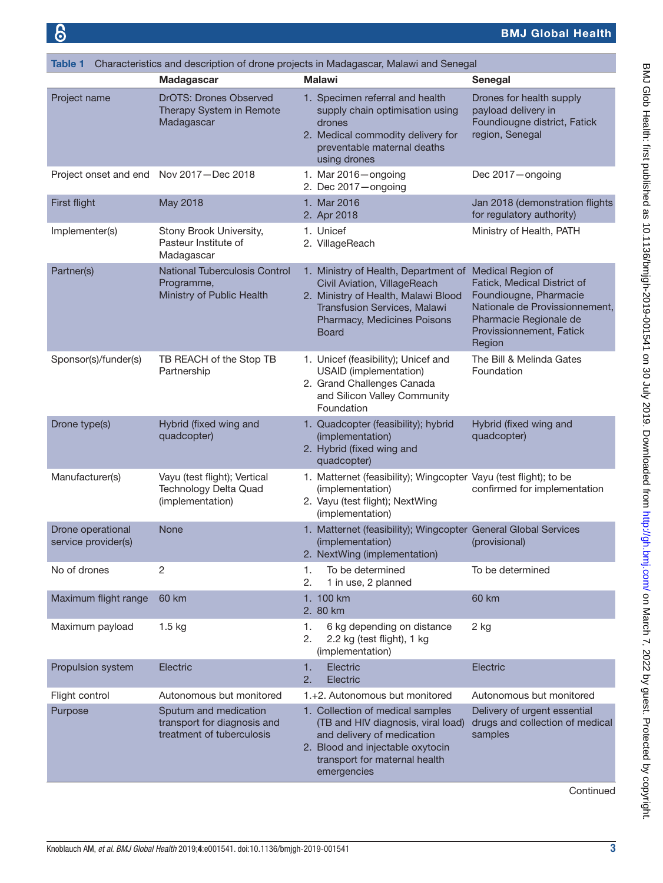<span id="page-2-0"></span>

| <b>Table 1</b>                           |                                                                                   | Characteristics and description of drone projects in Madagascar, Malawi and Senegal                                                                                                        |                                                                                                                                                                              |
|------------------------------------------|-----------------------------------------------------------------------------------|--------------------------------------------------------------------------------------------------------------------------------------------------------------------------------------------|------------------------------------------------------------------------------------------------------------------------------------------------------------------------------|
|                                          | Madagascar                                                                        | <b>Malawi</b>                                                                                                                                                                              | Senegal                                                                                                                                                                      |
| Project name                             | <b>DrOTS: Drones Observed</b><br>Therapy System in Remote<br>Madagascar           | 1. Specimen referral and health<br>supply chain optimisation using<br>drones<br>2. Medical commodity delivery for<br>preventable maternal deaths<br>using drones                           | Drones for health supply<br>payload delivery in<br>Foundiougne district, Fatick<br>region, Senegal                                                                           |
| Project onset and end                    | Nov 2017-Dec 2018                                                                 | 1. Mar $2016$ - ongoing<br>2. Dec $2017 -$ ongoing                                                                                                                                         | Dec 2017-ongoing                                                                                                                                                             |
| First flight                             | May 2018                                                                          | 1. Mar 2016<br>2. Apr 2018                                                                                                                                                                 | Jan 2018 (demonstration flights<br>for regulatory authority)                                                                                                                 |
| Implementer(s)                           | Stony Brook University,<br>Pasteur Institute of<br>Madagascar                     | 1. Unicef<br>2. VillageReach                                                                                                                                                               | Ministry of Health, PATH                                                                                                                                                     |
| Partner(s)                               | <b>National Tuberculosis Control</b><br>Programme,<br>Ministry of Public Health   | 1. Ministry of Health, Department of<br>Civil Aviation, VillageReach<br>2. Ministry of Health, Malawi Blood<br>Transfusion Services, Malawi<br>Pharmacy, Medicines Poisons<br><b>Board</b> | Medical Region of<br>Fatick, Medical District of<br>Foundiougne, Pharmacie<br>Nationale de Provissionnement.<br>Pharmacie Regionale de<br>Provissionnement, Fatick<br>Region |
| Sponsor(s)/funder(s)                     | TB REACH of the Stop TB<br>Partnership                                            | 1. Unicef (feasibility); Unicef and<br>USAID (implementation)<br>2. Grand Challenges Canada<br>and Silicon Valley Community<br>Foundation                                                  | The Bill & Melinda Gates<br>Foundation                                                                                                                                       |
| Drone type(s)                            | Hybrid (fixed wing and<br>quadcopter)                                             | 1. Quadcopter (feasibility); hybrid<br>(implementation)<br>2. Hybrid (fixed wing and<br>quadcopter)                                                                                        | Hybrid (fixed wing and<br>quadcopter)                                                                                                                                        |
| Manufacturer(s)                          | Vayu (test flight); Vertical<br>Technology Delta Quad<br>(implementation)         | 1. Matternet (feasibility); Wingcopter Vayu (test flight); to be<br>(implementation)<br>2. Vayu (test flight); NextWing<br>(implementation)                                                | confirmed for implementation                                                                                                                                                 |
| Drone operational<br>service provider(s) | <b>None</b>                                                                       | 1. Matternet (feasibility); Wingcopter General Global Services<br>(implementation)<br>2. NextWing (implementation)                                                                         | (provisional)                                                                                                                                                                |
| No of drones                             | 2                                                                                 | To be determined<br>1.<br>2.<br>1 in use, 2 planned                                                                                                                                        | To be determined                                                                                                                                                             |
| Maximum flight range                     | 60 km                                                                             | 1. 100 km<br>2. 80 km                                                                                                                                                                      | 60 km                                                                                                                                                                        |
| Maximum payload                          | $1.5$ kg                                                                          | 1.<br>6 kg depending on distance<br>2.<br>2.2 kg (test flight), 1 kg<br>(implementation)                                                                                                   | 2 kg                                                                                                                                                                         |
| Propulsion system                        | Electric                                                                          | Electric<br>1.<br>Electric<br>2.                                                                                                                                                           | Electric                                                                                                                                                                     |
| Flight control                           | Autonomous but monitored                                                          | 1.+2. Autonomous but monitored                                                                                                                                                             | Autonomous but monitored                                                                                                                                                     |
| Purpose                                  | Sputum and medication<br>transport for diagnosis and<br>treatment of tuberculosis | 1. Collection of medical samples<br>(TB and HIV diagnosis, viral load)<br>and delivery of medication<br>2. Blood and injectable oxytocin<br>transport for maternal health<br>emergencies   | Delivery of urgent essential<br>drugs and collection of medical<br>samples                                                                                                   |

**Continued**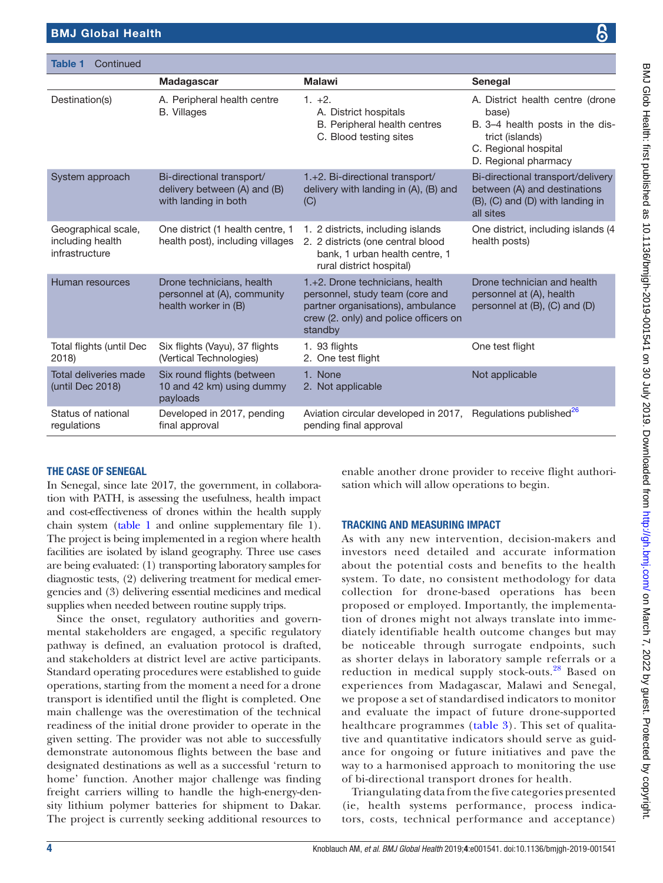Table 1 Continued

|                                                           | Madagascar                                                                        | <b>Malawi</b>                                                                                                                                               | <b>Senegal</b>                                                                                                                                  |
|-----------------------------------------------------------|-----------------------------------------------------------------------------------|-------------------------------------------------------------------------------------------------------------------------------------------------------------|-------------------------------------------------------------------------------------------------------------------------------------------------|
| Destination(s)                                            | A. Peripheral health centre<br><b>B.</b> Villages                                 | $1. +2.$<br>A. District hospitals<br>B. Peripheral health centres<br>C. Blood testing sites                                                                 | A. District health centre (drone<br>base)<br>B. 3-4 health posts in the dis-<br>trict (islands)<br>C. Regional hospital<br>D. Regional pharmacy |
| System approach                                           | Bi-directional transport/<br>delivery between (A) and (B)<br>with landing in both | 1.+2. Bi-directional transport/<br>delivery with landing in (A), (B) and<br>(C)                                                                             | Bi-directional transport/delivery<br>between (A) and destinations<br>(B), (C) and (D) with landing in<br>all sites                              |
| Geographical scale,<br>including health<br>infrastructure | One district (1 health centre, 1<br>health post), including villages              | 1. 2 districts, including islands<br>2. 2 districts (one central blood<br>bank, 1 urban health centre, 1<br>rural district hospital)                        | One district, including islands (4<br>health posts)                                                                                             |
| Human resources                                           | Drone technicians, health<br>personnel at (A), community<br>health worker in (B)  | 1.+2. Drone technicians, health<br>personnel, study team (core and<br>partner organisations), ambulance<br>crew (2. only) and police officers on<br>standby | Drone technician and health<br>personnel at (A), health<br>personnel at (B), (C) and (D)                                                        |
| Total flights (until Dec<br>2018)                         | Six flights (Vayu), 37 flights<br>(Vertical Technologies)                         | 1. 93 flights<br>2. One test flight                                                                                                                         | One test flight                                                                                                                                 |
| Total deliveries made<br>(until Dec 2018)                 | Six round flights (between<br>10 and 42 km) using dummy<br>payloads               | 1. None<br>2. Not applicable                                                                                                                                | Not applicable                                                                                                                                  |
| Status of national<br>regulations                         | Developed in 2017, pending<br>final approval                                      | Aviation circular developed in 2017, Regulations published <sup>26</sup><br>pending final approval                                                          |                                                                                                                                                 |

#### The case of Senegal

In Senegal, since late 2017, the government, in collaboration with PATH, is assessing the usefulness, health impact and cost-effectiveness of drones within the health supply chain system ([table](#page-2-0) 1 and online [supplementary file 1\)](https://dx.doi.org/10.1136/bmjgh-2019-001541). The project is being implemented in a region where health facilities are isolated by island geography. Three use cases are being evaluated: (1) transporting laboratory samples for diagnostic tests, (2) delivering treatment for medical emergencies and (3) delivering essential medicines and medical supplies when needed between routine supply trips.

Since the onset, regulatory authorities and governmental stakeholders are engaged, a specific regulatory pathway is defined, an evaluation protocol is drafted, and stakeholders at district level are active participants. Standard operating procedures were established to guide operations, starting from the moment a need for a drone transport is identified until the flight is completed. One main challenge was the overestimation of the technical readiness of the initial drone provider to operate in the given setting. The provider was not able to successfully demonstrate autonomous flights between the base and designated destinations as well as a successful 'return to home' function. Another major challenge was finding freight carriers willing to handle the high-energy-density lithium polymer batteries for shipment to Dakar. The project is currently seeking additional resources to

enable another drone provider to receive flight authorisation which will allow operations to begin.

#### Tracking and measuring impact

As with any new intervention, decision-makers and investors need detailed and accurate information about the potential costs and benefits to the health system. To date, no consistent methodology for data collection for drone-based operations has been proposed or employed. Importantly, the implementation of drones might not always translate into immediately identifiable health outcome changes but may be noticeable through surrogate endpoints, such as shorter delays in laboratory sample referrals or a reduction in medical supply stock-outs.[28](#page-9-10) Based on experiences from Madagascar, Malawi and Senegal, we propose a set of standardised indicators to monitor and evaluate the impact of future drone-supported healthcare programmes [\(table](#page-6-0) 3). This set of qualitative and quantitative indicators should serve as guidance for ongoing or future initiatives and pave the way to a harmonised approach to monitoring the use of bi-directional transport drones for health.

Triangulating data from the five categories presented (ie, health systems performance, process indicators, costs, technical performance and acceptance)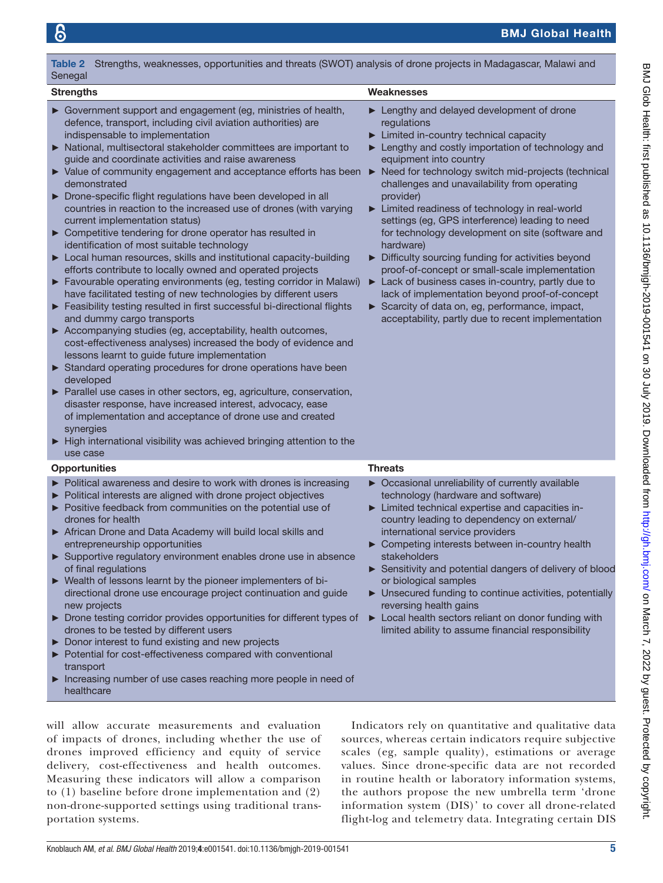# Table 2 Strengths, weaknesses, opportunities and threats (SWOT) analysis of drone projects in Madagascar, Malawi and

indispensable to implementation

current implementation status)

and dummy cargo transports

identification of most suitable technology

► Government support and engagement (eg, ministries of health, defence, transport, including civil aviation authorities) are

► National, multisectoral stakeholder committees are important to

guide and coordinate activities and raise awareness

► Drone-specific flight regulations have been developed in all countries in reaction to the increased use of drones (with varying

► Competitive tendering for drone operator has resulted in

► Local human resources, skills and institutional capacity-building efforts contribute to locally owned and operated projects ► Favourable operating environments (eg, testing corridor in Malawi) have facilitated testing of new technologies by different users ► Feasibility testing resulted in first successful bi-directional flights

► Accompanying studies (eg, acceptability, health outcomes,

lessons learnt to guide future implementation

cost-effectiveness analyses) increased the body of evidence and

► Standard operating procedures for drone operations have been

► Parallel use cases in other sectors, eg, agriculture, conservation, disaster response, have increased interest, advocacy, ease of implementation and acceptance of drone use and created

► High international visibility was achieved bringing attention to the

Political awareness and desire to work with drones is increasing

Opportunities Threats

<span id="page-4-0"></span>Senegal

demonstrated

developed

synergies

use case

#### Strengths Weaknesses

- ► Lengthy and delayed development of drone regulations
- Limited in-country technical capacity
- Lengthy and costly importation of technology and equipment into country
- ► Value of community engagement and acceptance efforts has been ► Need for technology switch mid-projects (technical challenges and unavailability from operating provider)
	- Limited readiness of technology in real-world settings (eg, GPS interference) leading to need for technology development on site (software and hardware)
	- ► Difficulty sourcing funding for activities beyond proof-of-concept or small-scale implementation
	- ► Lack of business cases in-country, partly due to lack of implementation beyond proof-of-concept
	- ► Scarcity of data on, eg, performance, impact, acceptability, partly due to recent implementation

Occasional unreliability of currently available

Political interests are aligned with drone project objectives ► Positive feedback from communities on the potential use of drones for health African Drone and Data Academy will build local skills and entrepreneurship opportunities ► Supportive regulatory environment enables drone use in absence of final regulations ► Wealth of lessons learnt by the pioneer implementers of bidirectional drone use encourage project continuation and guide new projects Drone testing corridor provides opportunities for different types of drones to be tested by different users Donor interest to fund existing and new projects ► Potential for cost-effectiveness compared with conventional transport Increasing number of use cases reaching more people in need of healthcare technology (hardware and software) Limited technical expertise and capacities incountry leading to dependency on external/ international service providers Competing interests between in-country health stakeholders ► Sensitivity and potential dangers of delivery of blood or biological samples Unsecured funding to continue activities, potentially reversing health gains ► Local health sectors reliant on donor funding with limited ability to assume financial responsibility will allow accurate measurements and evaluation

of impacts of drones, including whether the use of drones improved efficiency and equity of service delivery, cost-effectiveness and health outcomes. Measuring these indicators will allow a comparison to (1) baseline before drone implementation and (2) non-drone-supported settings using traditional transportation systems.

Indicators rely on quantitative and qualitative data sources, whereas certain indicators require subjective scales (eg, sample quality), estimations or average values. Since drone-specific data are not recorded in routine health or laboratory information systems, the authors propose the new umbrella term 'drone information system (DIS)' to cover all drone-related flight-log and telemetry data. Integrating certain DIS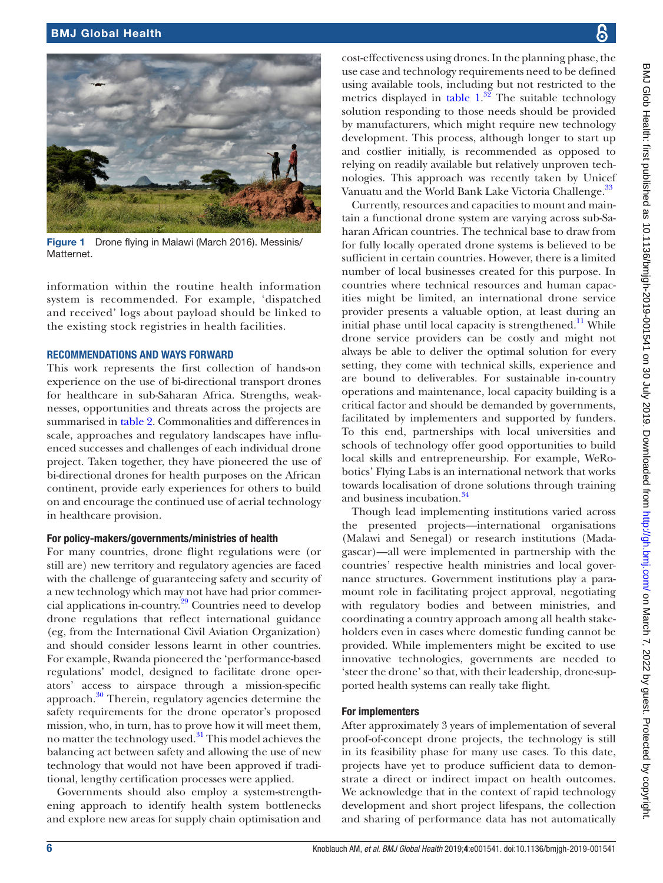

and business incubation.<sup>[34](#page-9-17)</sup>

Though lead implementing institutions varied across the presented projects—international organisations (Malawi and Senegal) or research institutions (Madagascar)—all were implemented in partnership with the countries' respective health ministries and local governance structures. Government institutions play a paramount role in facilitating project approval, negotiating with regulatory bodies and between ministries, and coordinating a country approach among all health stakeholders even in cases where domestic funding cannot be provided. While implementers might be excited to use innovative technologies, governments are needed to 'steer the drone' so that, with their leadership, drone-supported health systems can really take flight.

#### For implementers

After approximately 3 years of implementation of several development and short project lifespans, the collection and sharing of performance data has not automatically

cost-effectiveness using drones. In the planning phase, the use case and technology requirements need to be defined using available tools, including but not restricted to the metrics displayed in [table](#page-2-0)  $1.^{32}$  $1.^{32}$  $1.^{32}$  The suitable technology solution responding to those needs should be provided by manufacturers, which might require new technology development. This process, although longer to start up and costlier initially, is recommended as opposed to relying on readily available but relatively unproven technologies. This approach was recently taken by Unicef Vanuatu and the World Bank Lake Victoria Challenge.<sup>[33](#page-9-15)</sup>

Currently, resources and capacities to mount and maintain a functional drone system are varying across sub-Saharan African countries. The technical base to draw from for fully locally operated drone systems is believed to be sufficient in certain countries. However, there is a limited number of local businesses created for this purpose. In countries where technical resources and human capacities might be limited, an international drone service provider presents a valuable option, at least during an initial phase until local capacity is strengthened.<sup>11</sup> While drone service providers can be costly and might not always be able to deliver the optimal solution for every setting, they come with technical skills, experience and are bound to deliverables. For sustainable in-country operations and maintenance, local capacity building is a critical factor and should be demanded by governments, facilitated by implementers and supported by funders. To this end, partnerships with local universities and schools of technology offer good opportunities to build local skills and entrepreneurship. For example, WeRobotics' Flying Labs is an international network that works towards localisation of drone solutions through training

proof-of-concept drone projects, the technology is still in its feasibility phase for many use cases. To this date, projects have yet to produce sufficient data to demonstrate a direct or indirect impact on health outcomes. We acknowledge that in the context of rapid technology

<span id="page-5-0"></span>Figure 1 Drone flying in Malawi (March 2016). Messinis/ **Matternet** 

information within the routine health information system is recommended. For example, 'dispatched and received' logs about payload should be linked to the existing stock registries in health facilities.

#### **RECOMMENDATIONS AND WAYS FORWARD**

This work represents the first collection of hands-on experience on the use of bi-directional transport drones for healthcare in sub-Saharan Africa. Strengths, weaknesses, opportunities and threats across the projects are summarised in [table](#page-4-0) 2. Commonalities and differences in scale, approaches and regulatory landscapes have influenced successes and challenges of each individual drone project. Taken together, they have pioneered the use of bi-directional drones for health purposes on the African continent, provide early experiences for others to build on and encourage the continued use of aerial technology in healthcare provision.

#### For policy-makers/governments/ministries of health

For many countries, drone flight regulations were (or still are) new territory and regulatory agencies are faced with the challenge of guaranteeing safety and security of a new technology which may not have had prior commercial applications in-country.[29](#page-9-11) Countries need to develop drone regulations that reflect international guidance (eg, from the International Civil Aviation Organization) and should consider lessons learnt in other countries. For example, Rwanda pioneered the 'performance-based regulations' model, designed to facilitate drone operators' access to airspace through a mission-specific approach. $30$  Therein, regulatory agencies determine the safety requirements for the drone operator's proposed mission, who, in turn, has to prove how it will meet them, no matter the technology used.<sup>[31](#page-9-13)</sup> This model achieves the balancing act between safety and allowing the use of new technology that would not have been approved if traditional, lengthy certification processes were applied.

Governments should also employ a system-strengthening approach to identify health system bottlenecks and explore new areas for supply chain optimisation and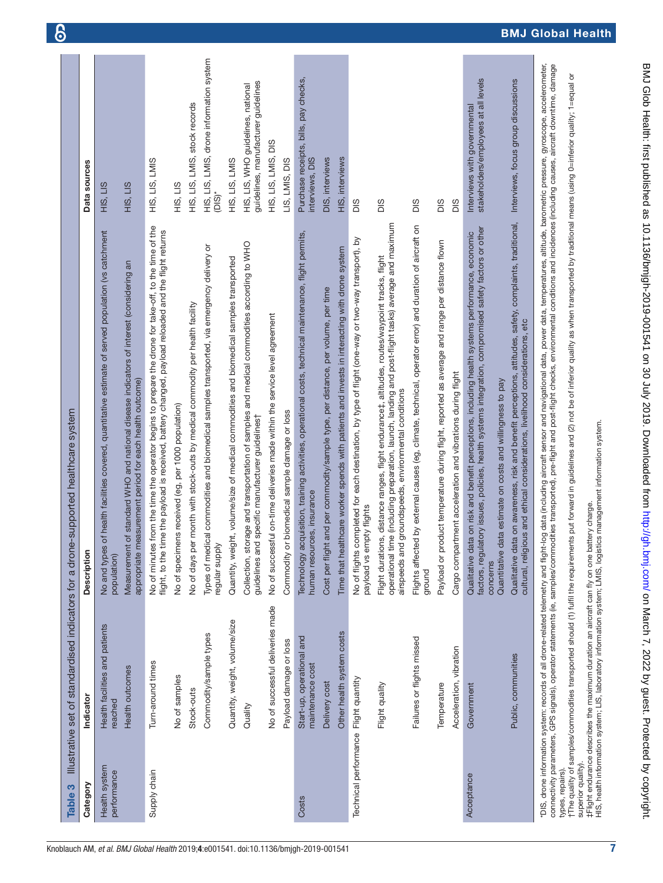<span id="page-6-0"></span>

| "DIS, drone information system: records of all drone-related telernetry and flight-log data (including aircraft sensor and navigational data, power data, temperatures, altitude, barometric pressure, gyroscope, acceleromete<br>connectivity parameters, GPS signals), operator statements (ie, samples/commodities transported), pre-flight and post-flight checks, environmental conditions and incidences (including causes, aircraft downtime, damage<br>HIS, LIS<br>$\frac{1}{2}$<br>HIS, LIS<br>$(DIS)^*$<br>НŚ,<br>DIS<br>SIQ<br>DIS<br>DIS<br>SIQ<br>Qualitative data on awareness, risk and benefit perceptions, attitudes, safety, complaints, traditional,<br>operational time (including preparation, launch, landing and post-flight tasks) average and maximum<br>Flights affected by external causes (eg, climate, technical, operator error) and duration of aircraft on<br>No of minutes from the time the operator begins to prepare the drone for take-off, to the time of the<br>factors, regulatory issues, policies, health systems integration, compromised safety factors or other<br>flight, to the time the payload is received, battery changed, payload reloaded and the flight returns<br>of health facilities covered, quantitative estimate of served population (vs catchment<br>Technology acquisition, training activities, operational costs, technical maintenance, flight permits,<br>Qualitative data on risk and benefit perceptions, including health systems performance, economic<br>No of flights completed for each destination, by type of flight (one-way or two-way transport), by<br>Payload or product temperature during flight, reported as average and range per distance flown<br>Collection, storage and transportation of samples and medical commodities according to WHO<br>Types of medical commodities and biomedical samples transported, via emergency delivery or<br>Time that healthcare worker spends with patients and invests in interacting with drone system<br>Flight durations, distance ranges, flight endurance‡, altitudes, routes/waypoint tracks, flight<br>ht, volume/size of medical commodities and biomedical samples transported<br>of standard WHO and national disease indicators of interest (considering an<br>Cost per flight and per commodity/sample type, per distance, per volume, per time<br>No of days per month with stock-outs by medical commodity per health facility<br>No of successful on-time deliveries made within the service level agreement<br>cultural, religious and ethical considerations, livelihood considerations, etc<br>Cargo compartment acceleration and vibrations during flight<br>easurement period for each health outcome)<br>Quantitative data estimate on costs and willingness to pay<br>groundspeeds, environmental conditions<br>No of specimens received (eg, per 1000 population)<br>Commodity or biomedical sample damage or loss<br>guidelines and specific manufacturer guidelines†<br>human resources, insurance<br>payload vs empty flights<br>Measurement<br>appropriate m<br>regular supply<br>Quantity, weig<br>airspeeds and<br>No and types<br>population)<br>concerns<br>ground<br>No of successful deliveries made<br>Quantity, weight, volume/size<br>Health facilities and patients<br>Other health system costs<br>Commodity/sample types<br>Start-up, operational and<br>Failures or flights missed<br>Payload damage or loss<br>Acceleration, vibration<br>Public, communities<br>Turn-around times<br>maintenance cost<br>Health outcomes<br>No of samples<br>Technical performance Flight quantity<br>Delivery cost<br>Flight quality<br>Temperature<br>Government<br>Stock-outs<br>reached<br>Quality<br>Health system<br>types, repairs).<br>Supply chain<br>performance<br>Acceptance<br>Costs | Category | Indicator | Description | Data sources                                                              |
|--------------------------------------------------------------------------------------------------------------------------------------------------------------------------------------------------------------------------------------------------------------------------------------------------------------------------------------------------------------------------------------------------------------------------------------------------------------------------------------------------------------------------------------------------------------------------------------------------------------------------------------------------------------------------------------------------------------------------------------------------------------------------------------------------------------------------------------------------------------------------------------------------------------------------------------------------------------------------------------------------------------------------------------------------------------------------------------------------------------------------------------------------------------------------------------------------------------------------------------------------------------------------------------------------------------------------------------------------------------------------------------------------------------------------------------------------------------------------------------------------------------------------------------------------------------------------------------------------------------------------------------------------------------------------------------------------------------------------------------------------------------------------------------------------------------------------------------------------------------------------------------------------------------------------------------------------------------------------------------------------------------------------------------------------------------------------------------------------------------------------------------------------------------------------------------------------------------------------------------------------------------------------------------------------------------------------------------------------------------------------------------------------------------------------------------------------------------------------------------------------------------------------------------------------------------------------------------------------------------------------------------------------------------------------------------------------------------------------------------------------------------------------------------------------------------------------------------------------------------------------------------------------------------------------------------------------------------------------------------------------------------------------------------------------------------------------------------------------------------------------------------------------------------------------------------------------------------------------------------------------------------------------------------------------------------------------------------------------------------------------------------------------------------------------------------------------------------------------------------------------------------------------------------------------------------------------------------------------------------------------------------------------------------------------------------------------------------------------------------------------------------------------------------------------------------------------------------------------------|----------|-----------|-------------|---------------------------------------------------------------------------|
|                                                                                                                                                                                                                                                                                                                                                                                                                                                                                                                                                                                                                                                                                                                                                                                                                                                                                                                                                                                                                                                                                                                                                                                                                                                                                                                                                                                                                                                                                                                                                                                                                                                                                                                                                                                                                                                                                                                                                                                                                                                                                                                                                                                                                                                                                                                                                                                                                                                                                                                                                                                                                                                                                                                                                                                                                                                                                                                                                                                                                                                                                                                                                                                                                                                                                                                                                                                                                                                                                                                                                                                                                                                                                                                                                                                                                                                        |          |           |             |                                                                           |
|                                                                                                                                                                                                                                                                                                                                                                                                                                                                                                                                                                                                                                                                                                                                                                                                                                                                                                                                                                                                                                                                                                                                                                                                                                                                                                                                                                                                                                                                                                                                                                                                                                                                                                                                                                                                                                                                                                                                                                                                                                                                                                                                                                                                                                                                                                                                                                                                                                                                                                                                                                                                                                                                                                                                                                                                                                                                                                                                                                                                                                                                                                                                                                                                                                                                                                                                                                                                                                                                                                                                                                                                                                                                                                                                                                                                                                                        |          |           |             |                                                                           |
|                                                                                                                                                                                                                                                                                                                                                                                                                                                                                                                                                                                                                                                                                                                                                                                                                                                                                                                                                                                                                                                                                                                                                                                                                                                                                                                                                                                                                                                                                                                                                                                                                                                                                                                                                                                                                                                                                                                                                                                                                                                                                                                                                                                                                                                                                                                                                                                                                                                                                                                                                                                                                                                                                                                                                                                                                                                                                                                                                                                                                                                                                                                                                                                                                                                                                                                                                                                                                                                                                                                                                                                                                                                                                                                                                                                                                                                        |          |           |             | HIS, LIS, LMIS                                                            |
|                                                                                                                                                                                                                                                                                                                                                                                                                                                                                                                                                                                                                                                                                                                                                                                                                                                                                                                                                                                                                                                                                                                                                                                                                                                                                                                                                                                                                                                                                                                                                                                                                                                                                                                                                                                                                                                                                                                                                                                                                                                                                                                                                                                                                                                                                                                                                                                                                                                                                                                                                                                                                                                                                                                                                                                                                                                                                                                                                                                                                                                                                                                                                                                                                                                                                                                                                                                                                                                                                                                                                                                                                                                                                                                                                                                                                                                        |          |           |             |                                                                           |
|                                                                                                                                                                                                                                                                                                                                                                                                                                                                                                                                                                                                                                                                                                                                                                                                                                                                                                                                                                                                                                                                                                                                                                                                                                                                                                                                                                                                                                                                                                                                                                                                                                                                                                                                                                                                                                                                                                                                                                                                                                                                                                                                                                                                                                                                                                                                                                                                                                                                                                                                                                                                                                                                                                                                                                                                                                                                                                                                                                                                                                                                                                                                                                                                                                                                                                                                                                                                                                                                                                                                                                                                                                                                                                                                                                                                                                                        |          |           |             | HIS, LIS, LMIS, stock records                                             |
|                                                                                                                                                                                                                                                                                                                                                                                                                                                                                                                                                                                                                                                                                                                                                                                                                                                                                                                                                                                                                                                                                                                                                                                                                                                                                                                                                                                                                                                                                                                                                                                                                                                                                                                                                                                                                                                                                                                                                                                                                                                                                                                                                                                                                                                                                                                                                                                                                                                                                                                                                                                                                                                                                                                                                                                                                                                                                                                                                                                                                                                                                                                                                                                                                                                                                                                                                                                                                                                                                                                                                                                                                                                                                                                                                                                                                                                        |          |           |             | HIS, LIS, LMIS, drone information system                                  |
|                                                                                                                                                                                                                                                                                                                                                                                                                                                                                                                                                                                                                                                                                                                                                                                                                                                                                                                                                                                                                                                                                                                                                                                                                                                                                                                                                                                                                                                                                                                                                                                                                                                                                                                                                                                                                                                                                                                                                                                                                                                                                                                                                                                                                                                                                                                                                                                                                                                                                                                                                                                                                                                                                                                                                                                                                                                                                                                                                                                                                                                                                                                                                                                                                                                                                                                                                                                                                                                                                                                                                                                                                                                                                                                                                                                                                                                        |          |           |             | HIS, LIS, LMIS                                                            |
|                                                                                                                                                                                                                                                                                                                                                                                                                                                                                                                                                                                                                                                                                                                                                                                                                                                                                                                                                                                                                                                                                                                                                                                                                                                                                                                                                                                                                                                                                                                                                                                                                                                                                                                                                                                                                                                                                                                                                                                                                                                                                                                                                                                                                                                                                                                                                                                                                                                                                                                                                                                                                                                                                                                                                                                                                                                                                                                                                                                                                                                                                                                                                                                                                                                                                                                                                                                                                                                                                                                                                                                                                                                                                                                                                                                                                                                        |          |           |             | guidelines, manufacturer guidelines<br>HIS, LIS, WHO guidelines, national |
|                                                                                                                                                                                                                                                                                                                                                                                                                                                                                                                                                                                                                                                                                                                                                                                                                                                                                                                                                                                                                                                                                                                                                                                                                                                                                                                                                                                                                                                                                                                                                                                                                                                                                                                                                                                                                                                                                                                                                                                                                                                                                                                                                                                                                                                                                                                                                                                                                                                                                                                                                                                                                                                                                                                                                                                                                                                                                                                                                                                                                                                                                                                                                                                                                                                                                                                                                                                                                                                                                                                                                                                                                                                                                                                                                                                                                                                        |          |           |             | DIS<br>HIS, LIS, LMIS,                                                    |
|                                                                                                                                                                                                                                                                                                                                                                                                                                                                                                                                                                                                                                                                                                                                                                                                                                                                                                                                                                                                                                                                                                                                                                                                                                                                                                                                                                                                                                                                                                                                                                                                                                                                                                                                                                                                                                                                                                                                                                                                                                                                                                                                                                                                                                                                                                                                                                                                                                                                                                                                                                                                                                                                                                                                                                                                                                                                                                                                                                                                                                                                                                                                                                                                                                                                                                                                                                                                                                                                                                                                                                                                                                                                                                                                                                                                                                                        |          |           |             | LIS, LMIS, DIS                                                            |
|                                                                                                                                                                                                                                                                                                                                                                                                                                                                                                                                                                                                                                                                                                                                                                                                                                                                                                                                                                                                                                                                                                                                                                                                                                                                                                                                                                                                                                                                                                                                                                                                                                                                                                                                                                                                                                                                                                                                                                                                                                                                                                                                                                                                                                                                                                                                                                                                                                                                                                                                                                                                                                                                                                                                                                                                                                                                                                                                                                                                                                                                                                                                                                                                                                                                                                                                                                                                                                                                                                                                                                                                                                                                                                                                                                                                                                                        |          |           |             | Purchase receipts, bills, pay checks,<br>interviews, DIS                  |
|                                                                                                                                                                                                                                                                                                                                                                                                                                                                                                                                                                                                                                                                                                                                                                                                                                                                                                                                                                                                                                                                                                                                                                                                                                                                                                                                                                                                                                                                                                                                                                                                                                                                                                                                                                                                                                                                                                                                                                                                                                                                                                                                                                                                                                                                                                                                                                                                                                                                                                                                                                                                                                                                                                                                                                                                                                                                                                                                                                                                                                                                                                                                                                                                                                                                                                                                                                                                                                                                                                                                                                                                                                                                                                                                                                                                                                                        |          |           |             | DIS, interviews                                                           |
|                                                                                                                                                                                                                                                                                                                                                                                                                                                                                                                                                                                                                                                                                                                                                                                                                                                                                                                                                                                                                                                                                                                                                                                                                                                                                                                                                                                                                                                                                                                                                                                                                                                                                                                                                                                                                                                                                                                                                                                                                                                                                                                                                                                                                                                                                                                                                                                                                                                                                                                                                                                                                                                                                                                                                                                                                                                                                                                                                                                                                                                                                                                                                                                                                                                                                                                                                                                                                                                                                                                                                                                                                                                                                                                                                                                                                                                        |          |           |             | HIS, interviews                                                           |
|                                                                                                                                                                                                                                                                                                                                                                                                                                                                                                                                                                                                                                                                                                                                                                                                                                                                                                                                                                                                                                                                                                                                                                                                                                                                                                                                                                                                                                                                                                                                                                                                                                                                                                                                                                                                                                                                                                                                                                                                                                                                                                                                                                                                                                                                                                                                                                                                                                                                                                                                                                                                                                                                                                                                                                                                                                                                                                                                                                                                                                                                                                                                                                                                                                                                                                                                                                                                                                                                                                                                                                                                                                                                                                                                                                                                                                                        |          |           |             |                                                                           |
|                                                                                                                                                                                                                                                                                                                                                                                                                                                                                                                                                                                                                                                                                                                                                                                                                                                                                                                                                                                                                                                                                                                                                                                                                                                                                                                                                                                                                                                                                                                                                                                                                                                                                                                                                                                                                                                                                                                                                                                                                                                                                                                                                                                                                                                                                                                                                                                                                                                                                                                                                                                                                                                                                                                                                                                                                                                                                                                                                                                                                                                                                                                                                                                                                                                                                                                                                                                                                                                                                                                                                                                                                                                                                                                                                                                                                                                        |          |           |             |                                                                           |
|                                                                                                                                                                                                                                                                                                                                                                                                                                                                                                                                                                                                                                                                                                                                                                                                                                                                                                                                                                                                                                                                                                                                                                                                                                                                                                                                                                                                                                                                                                                                                                                                                                                                                                                                                                                                                                                                                                                                                                                                                                                                                                                                                                                                                                                                                                                                                                                                                                                                                                                                                                                                                                                                                                                                                                                                                                                                                                                                                                                                                                                                                                                                                                                                                                                                                                                                                                                                                                                                                                                                                                                                                                                                                                                                                                                                                                                        |          |           |             |                                                                           |
|                                                                                                                                                                                                                                                                                                                                                                                                                                                                                                                                                                                                                                                                                                                                                                                                                                                                                                                                                                                                                                                                                                                                                                                                                                                                                                                                                                                                                                                                                                                                                                                                                                                                                                                                                                                                                                                                                                                                                                                                                                                                                                                                                                                                                                                                                                                                                                                                                                                                                                                                                                                                                                                                                                                                                                                                                                                                                                                                                                                                                                                                                                                                                                                                                                                                                                                                                                                                                                                                                                                                                                                                                                                                                                                                                                                                                                                        |          |           |             |                                                                           |
|                                                                                                                                                                                                                                                                                                                                                                                                                                                                                                                                                                                                                                                                                                                                                                                                                                                                                                                                                                                                                                                                                                                                                                                                                                                                                                                                                                                                                                                                                                                                                                                                                                                                                                                                                                                                                                                                                                                                                                                                                                                                                                                                                                                                                                                                                                                                                                                                                                                                                                                                                                                                                                                                                                                                                                                                                                                                                                                                                                                                                                                                                                                                                                                                                                                                                                                                                                                                                                                                                                                                                                                                                                                                                                                                                                                                                                                        |          |           |             |                                                                           |
|                                                                                                                                                                                                                                                                                                                                                                                                                                                                                                                                                                                                                                                                                                                                                                                                                                                                                                                                                                                                                                                                                                                                                                                                                                                                                                                                                                                                                                                                                                                                                                                                                                                                                                                                                                                                                                                                                                                                                                                                                                                                                                                                                                                                                                                                                                                                                                                                                                                                                                                                                                                                                                                                                                                                                                                                                                                                                                                                                                                                                                                                                                                                                                                                                                                                                                                                                                                                                                                                                                                                                                                                                                                                                                                                                                                                                                                        |          |           |             | stakeholders/employees at all levels<br>Interviews with governmental      |
|                                                                                                                                                                                                                                                                                                                                                                                                                                                                                                                                                                                                                                                                                                                                                                                                                                                                                                                                                                                                                                                                                                                                                                                                                                                                                                                                                                                                                                                                                                                                                                                                                                                                                                                                                                                                                                                                                                                                                                                                                                                                                                                                                                                                                                                                                                                                                                                                                                                                                                                                                                                                                                                                                                                                                                                                                                                                                                                                                                                                                                                                                                                                                                                                                                                                                                                                                                                                                                                                                                                                                                                                                                                                                                                                                                                                                                                        |          |           |             | Interviews, focus group discussions                                       |
|                                                                                                                                                                                                                                                                                                                                                                                                                                                                                                                                                                                                                                                                                                                                                                                                                                                                                                                                                                                                                                                                                                                                                                                                                                                                                                                                                                                                                                                                                                                                                                                                                                                                                                                                                                                                                                                                                                                                                                                                                                                                                                                                                                                                                                                                                                                                                                                                                                                                                                                                                                                                                                                                                                                                                                                                                                                                                                                                                                                                                                                                                                                                                                                                                                                                                                                                                                                                                                                                                                                                                                                                                                                                                                                                                                                                                                                        |          |           |             |                                                                           |
| The quality of samples/commodites transported should (1) fulfil the requirements put forward in guidelines and (2) not be of inferior quality as when transported by traditional means (using 0=inferior quality, 1=equal or<br>superior quality)                                                                                                                                                                                                                                                                                                                                                                                                                                                                                                                                                                                                                                                                                                                                                                                                                                                                                                                                                                                                                                                                                                                                                                                                                                                                                                                                                                                                                                                                                                                                                                                                                                                                                                                                                                                                                                                                                                                                                                                                                                                                                                                                                                                                                                                                                                                                                                                                                                                                                                                                                                                                                                                                                                                                                                                                                                                                                                                                                                                                                                                                                                                                                                                                                                                                                                                                                                                                                                                                                                                                                                                                      |          |           |             |                                                                           |

င်္ဂ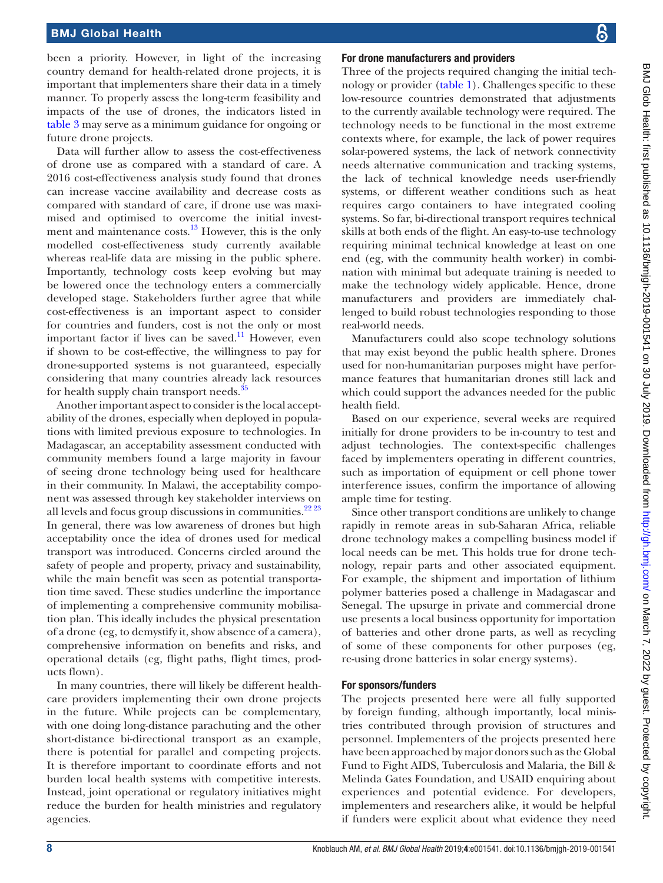been a priority. However, in light of the increasing country demand for health-related drone projects, it is important that implementers share their data in a timely manner. To properly assess the long-term feasibility and impacts of the use of drones, the indicators listed in [table](#page-6-0) 3 may serve as a minimum guidance for ongoing or future drone projects.

Data will further allow to assess the cost-effectiveness of drone use as compared with a standard of care. A 2016 cost-effectiveness analysis study found that drones can increase vaccine availability and decrease costs as compared with standard of care, if drone use was maximised and optimised to overcome the initial investment and maintenance costs. $^{13}$  However, this is the only modelled cost-effectiveness study currently available whereas real-life data are missing in the public sphere. Importantly, technology costs keep evolving but may be lowered once the technology enters a commercially developed stage. Stakeholders further agree that while cost-effectiveness is an important aspect to consider for countries and funders, cost is not the only or most important factor if lives can be saved.<sup>11</sup> However, even if shown to be cost-effective, the willingness to pay for drone-supported systems is not guaranteed, especially considering that many countries already lack resources for health supply chain transport needs.<sup>35</sup>

Another important aspect to consider is the local acceptability of the drones, especially when deployed in populations with limited previous exposure to technologies. In Madagascar, an acceptability assessment conducted with community members found a large majority in favour of seeing drone technology being used for healthcare in their community. In Malawi, the acceptability component was assessed through key stakeholder interviews on all levels and focus group discussions in communities.<sup>22 23</sup> In general, there was low awareness of drones but high acceptability once the idea of drones used for medical transport was introduced. Concerns circled around the safety of people and property, privacy and sustainability, while the main benefit was seen as potential transportation time saved. These studies underline the importance of implementing a comprehensive community mobilisation plan. This ideally includes the physical presentation of a drone (eg, to demystify it, show absence of a camera), comprehensive information on benefits and risks, and operational details (eg, flight paths, flight times, products flown).

In many countries, there will likely be different healthcare providers implementing their own drone projects in the future. While projects can be complementary, with one doing long-distance parachuting and the other short-distance bi-directional transport as an example, there is potential for parallel and competing projects. It is therefore important to coordinate efforts and not burden local health systems with competitive interests. Instead, joint operational or regulatory initiatives might reduce the burden for health ministries and regulatory agencies.

#### For drone manufacturers and providers

Three of the projects required changing the initial technology or provider [\(table](#page-2-0) 1). Challenges specific to these low-resource countries demonstrated that adjustments to the currently available technology were required. The technology needs to be functional in the most extreme contexts where, for example, the lack of power requires solar-powered systems, the lack of network connectivity needs alternative communication and tracking systems, the lack of technical knowledge needs user-friendly systems, or different weather conditions such as heat requires cargo containers to have integrated cooling systems. So far, bi-directional transport requires technical skills at both ends of the flight. An easy-to-use technology requiring minimal technical knowledge at least on one end (eg, with the community health worker) in combination with minimal but adequate training is needed to make the technology widely applicable. Hence, drone manufacturers and providers are immediately challenged to build robust technologies responding to those real-world needs.

Manufacturers could also scope technology solutions that may exist beyond the public health sphere. Drones used for non-humanitarian purposes might have performance features that humanitarian drones still lack and which could support the advances needed for the public health field.

Based on our experience, several weeks are required initially for drone providers to be in-country to test and adjust technologies. The context-specific challenges faced by implementers operating in different countries, such as importation of equipment or cell phone tower interference issues, confirm the importance of allowing ample time for testing.

Since other transport conditions are unlikely to change rapidly in remote areas in sub-Saharan Africa, reliable drone technology makes a compelling business model if local needs can be met. This holds true for drone technology, repair parts and other associated equipment. For example, the shipment and importation of lithium polymer batteries posed a challenge in Madagascar and Senegal. The upsurge in private and commercial drone use presents a local business opportunity for importation of batteries and other drone parts, as well as recycling of some of these components for other purposes (eg, re-using drone batteries in solar energy systems).

#### For sponsors/funders

The projects presented here were all fully supported by foreign funding, although importantly, local ministries contributed through provision of structures and personnel. Implementers of the projects presented here have been approached by major donors such as the Global Fund to Fight AIDS, Tuberculosis and Malaria, the Bill & Melinda Gates Foundation, and USAID enquiring about experiences and potential evidence. For developers, implementers and researchers alike, it would be helpful if funders were explicit about what evidence they need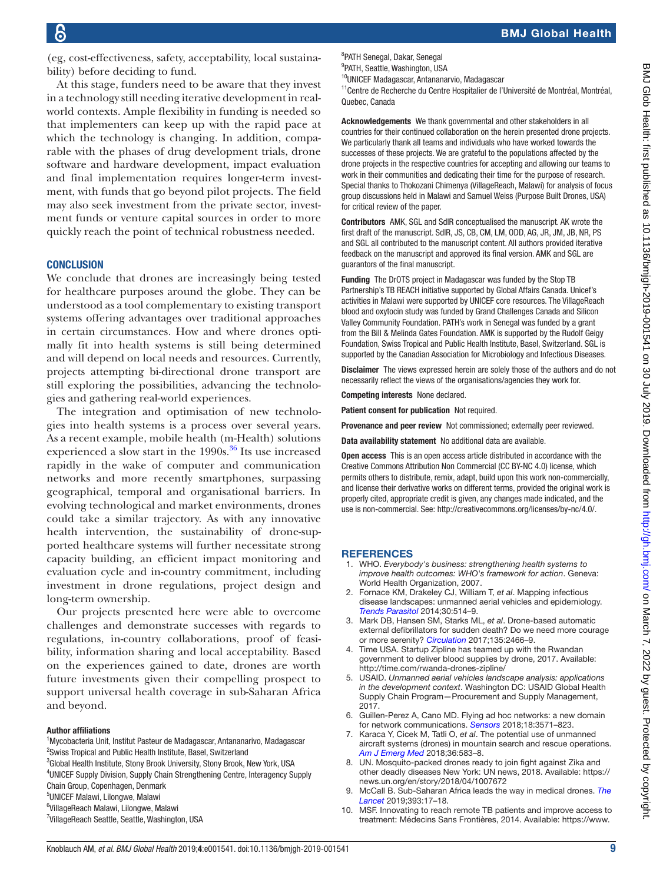(eg, cost-effectiveness, safety, acceptability, local sustainability) before deciding to fund.

At this stage, funders need to be aware that they invest in a technology still needing iterative development in realworld contexts. Ample flexibility in funding is needed so that implementers can keep up with the rapid pace at which the technology is changing. In addition, comparable with the phases of drug development trials, drone software and hardware development, impact evaluation and final implementation requires longer-term investment, with funds that go beyond pilot projects. The field may also seek investment from the private sector, investment funds or venture capital sources in order to more quickly reach the point of technical robustness needed.

#### **CONCLUSION**

We conclude that drones are increasingly being tested for healthcare purposes around the globe. They can be understood as a tool complementary to existing transport systems offering advantages over traditional approaches in certain circumstances. How and where drones optimally fit into health systems is still being determined and will depend on local needs and resources. Currently, projects attempting bi-directional drone transport are still exploring the possibilities, advancing the technologies and gathering real-world experiences.

The integration and optimisation of new technologies into health systems is a process over several years. As a recent example, mobile health (m-Health) solutions experienced a slow start in the  $1990s$ .<sup>36</sup> Its use increased rapidly in the wake of computer and communication networks and more recently smartphones, surpassing geographical, temporal and organisational barriers. In evolving technological and market environments, drones could take a similar trajectory. As with any innovative health intervention, the sustainability of drone-supported healthcare systems will further necessitate strong capacity building, an efficient impact monitoring and evaluation cycle and in-country commitment, including investment in drone regulations, project design and long-term ownership.

Our projects presented here were able to overcome challenges and demonstrate successes with regards to regulations, in-country collaborations, proof of feasibility, information sharing and local acceptability. Based on the experiences gained to date, drones are worth future investments given their compelling prospect to support universal health coverage in sub-Saharan Africa and beyond.

#### Author affiliations

<sup>1</sup>Mycobacteria Unit, Institut Pasteur de Madagascar, Antananarivo, Madagascar <sup>2</sup> Swiss Tropical and Public Health Institute, Basel, Switzerland

<sup>3</sup>Global Health Institute, Stony Brook University, Stony Brook, New York, USA 4 UNICEF Supply Division, Supply Chain Strengthening Centre, Interagency Supply Chain Group, Copenhagen, Denmark

5 UNICEF Malawi, Lilongwe, Malawi

- 6 VillageReach Malawi, Lilongwe, Malawi
- <sup>7</sup>VillageReach Seattle, Seattle, Washington, USA

8 PATH Senegal, Dakar, Senegal

<sup>9</sup>PATH, Seattle, Washington, USA <sup>10</sup>UNICEF Madagascar, Antananarvio, Madagascar

<sup>11</sup>Centre de Recherche du Centre Hospitalier de l'Université de Montréal, Montréal, Quebec, Canada

Acknowledgements We thank governmental and other stakeholders in all countries for their continued collaboration on the herein presented drone projects. We particularly thank all teams and individuals who have worked towards the successes of these projects. We are grateful to the populations affected by the drone projects in the respective countries for accepting and allowing our teams to work in their communities and dedicating their time for the purpose of research. Special thanks to Thokozani Chimenya (VillageReach, Malawi) for analysis of focus group discussions held in Malawi and Samuel Weiss (Purpose Built Drones, USA) for critical review of the paper.

Contributors AMK, SGL and SdlR conceptualised the manuscript. AK wrote the first draft of the manuscript. SdlR, JS, CB, CM, LM, ODD, AG, JR, JM, JB, NR, PS and SGL all contributed to the manuscript content. All authors provided iterative feedback on the manuscript and approved its final version. AMK and SGL are guarantors of the final manuscript.

Funding The DrOTS project in Madagascar was funded by the Stop TB Partnership's TB REACH initiative supported by Global Affairs Canada. Unicef's activities in Malawi were supported by UNICEF core resources. The VillageReach blood and oxytocin study was funded by Grand Challenges Canada and Silicon Valley Community Foundation. PATH's work in Senegal was funded by a grant from the Bill & Melinda Gates Foundation. AMK is supported by the Rudolf Geigy Foundation, Swiss Tropical and Public Health Institute, Basel, Switzerland. SGL is supported by the Canadian Association for Microbiology and Infectious Diseases.

Disclaimer The views expressed herein are solely those of the authors and do not necessarily reflect the views of the organisations/agencies they work for.

Competing interests None declared.

Patient consent for publication Not required.

Provenance and peer review Not commissioned; externally peer reviewed.

Data availability statement No additional data are available.

Open access This is an open access article distributed in accordance with the Creative Commons Attribution Non Commercial (CC BY-NC 4.0) license, which permits others to distribute, remix, adapt, build upon this work non-commercially, and license their derivative works on different terms, provided the original work is properly cited, appropriate credit is given, any changes made indicated, and the use is non-commercial. See:<http://creativecommons.org/licenses/by-nc/4.0/>.

#### **REFERENCES**

- <span id="page-8-0"></span>1. WHO. *Everybody's business: strengthening health systems to improve health outcomes: WHO's framework for action*. Geneva: World Health Organization, 2007.
- <span id="page-8-1"></span>2. Fornace KM, Drakeley CJ, William T, *et al*. Mapping infectious disease landscapes: unmanned aerial vehicles and epidemiology. *[Trends Parasitol](http://dx.doi.org/10.1016/j.pt.2014.09.001)* 2014;30:514–9.
- 3. Mark DB, Hansen SM, Starks ML, *et al*. Drone-based automatic external defibrillators for sudden death? Do we need more courage or more serenity? *[Circulation](http://dx.doi.org/10.1161/CIRCULATIONAHA.117.027888)* 2017;135:2466–9.
- 4. Time USA. Startup Zipline has teamed up with the Rwandan government to deliver blood supplies by drone, 2017. Available: <http://time.com/rwanda-drones-zipline/>
- <span id="page-8-2"></span>5. USAID. *Unmanned aerial vehicles landscape analysis: applications in the development context*. Washington DC: USAID Global Health Supply Chain Program—Procurement and Supply Management, 2017.
- 6. Guillen-Perez A, Cano MD. Flying ad hoc networks: a new domain for network communications. *[Sensors](http://dx.doi.org/10.3390/s18103571)* 2018;18:3571–823.
- 7. Karaca Y, Cicek M, Tatli O, *et al*. The potential use of unmanned aircraft systems (drones) in mountain search and rescue operations. *[Am J Emerg Med](http://dx.doi.org/10.1016/j.ajem.2017.09.025)* 2018;36:583–8.
- 8. UN. Mosquito-packed drones ready to join fight against Zika and other deadly diseases New York: UN news, 2018. Available: [https://](https://news.un.org/en/story/2018/04/1007672) [news.un.org/en/story/2018/04/1007672](https://news.un.org/en/story/2018/04/1007672)
- 9. McCall B. Sub-Saharan Africa leads the way in medical drones. *[The](http://dx.doi.org/10.1016/S0140-6736(18)33253-7)  [Lancet](http://dx.doi.org/10.1016/S0140-6736(18)33253-7)* 2019;393:17–18.
- <span id="page-8-3"></span>10. MSF. Innovating to reach remote TB patients and improve access to treatment: Médecins Sans Frontières, 2014. Available: [https://www.](https://www.msf.org/papua-new-guinea-innovating-reach-remote-tb-patients-and-improve-access-treatment)